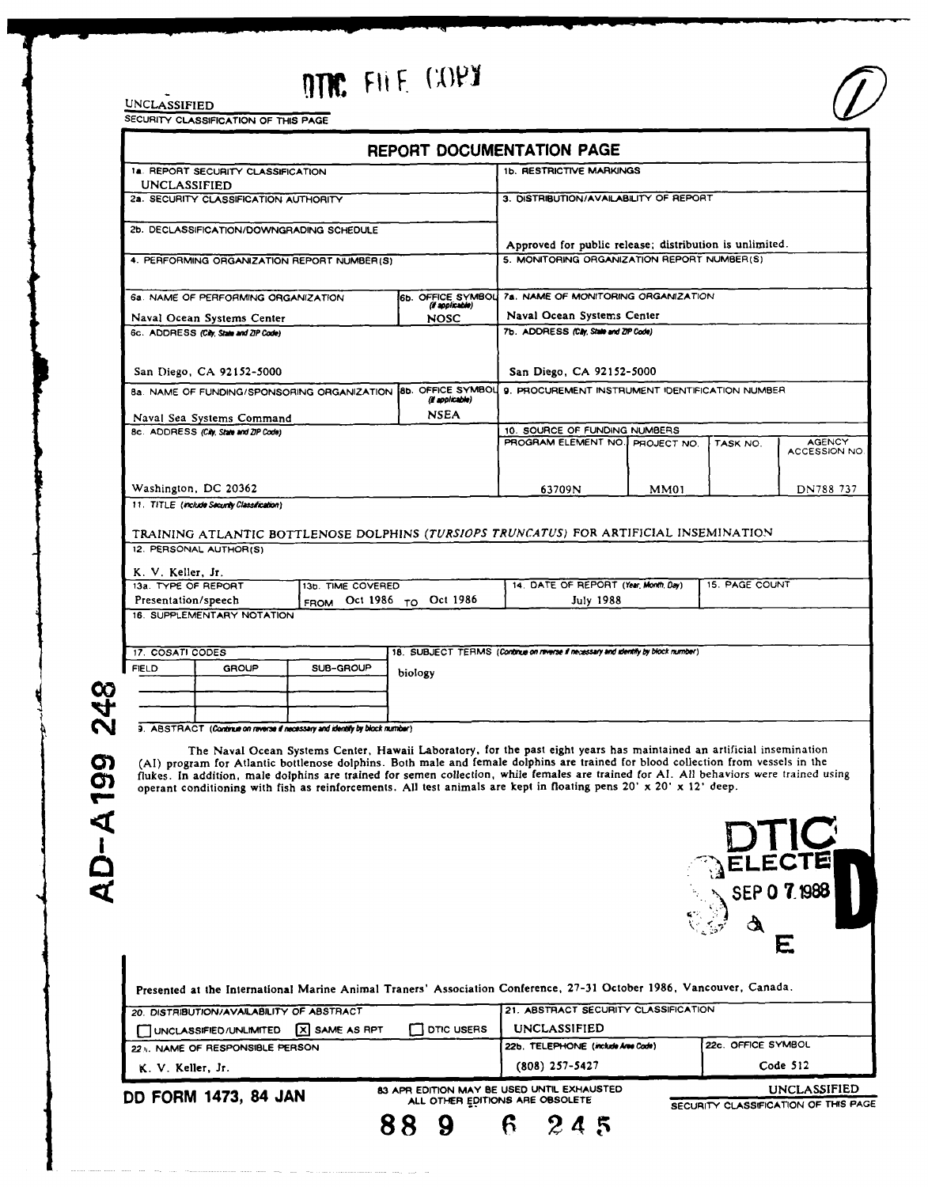# **UNCLASSIFIED PITTS FILE (COPY**

| 1a. REPORT SECURITY CLASSIFICATION<br>UNCLASSIFIED                                        |                                             |                                                                             |                                | <b>1b. RESTRICTIVE MARKINGS</b>                                                                                                         |             |                    |                          |
|-------------------------------------------------------------------------------------------|---------------------------------------------|-----------------------------------------------------------------------------|--------------------------------|-----------------------------------------------------------------------------------------------------------------------------------------|-------------|--------------------|--------------------------|
| 2a. SECURITY CLASSIFICATION AUTHORITY                                                     |                                             |                                                                             |                                | 3. DISTRIBUTION/AVAILABILITY OF REPORT                                                                                                  |             |                    |                          |
|                                                                                           | 2b. DECLASSIFICATION/DOWNGRADING SCHEDULE   |                                                                             |                                |                                                                                                                                         |             |                    |                          |
| 4. PERFORMING ORGANIZATION REPORT NUMBER(S)                                               |                                             |                                                                             |                                | Approved for public release; distribution is unlimited.                                                                                 |             |                    |                          |
|                                                                                           |                                             |                                                                             |                                | 5. MONITORING ORGANIZATION REPORT NUMBER(S)                                                                                             |             |                    |                          |
|                                                                                           | 6a. NAME OF PERFORMING ORGANIZATION         |                                                                             | 6b. OFFICE SYMBOL              | 7a. NAME OF MONITORING ORGANIZATION                                                                                                     |             |                    |                          |
| Naval Ocean Systems Center                                                                |                                             |                                                                             | (if applicable)<br><b>NOSC</b> | Naval Ocean Systems Center                                                                                                              |             |                    |                          |
|                                                                                           | 6c. ADDRESS (City, State and ZIP Code)      |                                                                             |                                | 7b. ADDRESS (City, State and ZIP Code)                                                                                                  |             |                    |                          |
|                                                                                           |                                             |                                                                             |                                |                                                                                                                                         |             |                    |                          |
| San Diego, CA 92152-5000<br>8a. NAME OF FUNDING/SPONSORING ORGANIZATION 8b. OFFICE SYMBOL |                                             |                                                                             |                                | San Diego, CA 92152-5000<br>9. PROCUREMENT INSTRUMENT IDENTIFICATION NUMBER                                                             |             |                    |                          |
| (il applicable)                                                                           |                                             |                                                                             |                                |                                                                                                                                         |             |                    |                          |
| <b>NSEA</b><br>Naval Sea Systems Command                                                  |                                             |                                                                             |                                | 10. SOURCE OF FUNDING NUMBERS                                                                                                           |             |                    |                          |
| 8c. ADDRESS (City, State and ZIP Code)                                                    |                                             |                                                                             |                                | PROGRAM ELEMENT NO.                                                                                                                     | PROJECT NO. | TASK NO.           | <b>AGENCY</b>            |
|                                                                                           |                                             |                                                                             |                                |                                                                                                                                         |             |                    | ACCESSION NO             |
|                                                                                           | Washington, DC 20362                        |                                                                             |                                | 63709N                                                                                                                                  | MM01        |                    | DN788 737                |
|                                                                                           | 11. TITLE (include Security Classification) |                                                                             |                                |                                                                                                                                         |             |                    |                          |
|                                                                                           |                                             |                                                                             |                                |                                                                                                                                         |             |                    |                          |
|                                                                                           |                                             |                                                                             |                                | TRAINING ATLANTIC BOTTLENOSE DOLPHINS (TURSIOPS TRUNCATUS) FOR ARTIFICIAL INSEMINATION                                                  |             |                    |                          |
|                                                                                           | 12. PERSONAL AUTHOR(S)                      |                                                                             |                                |                                                                                                                                         |             |                    |                          |
| K. V. Keller, Jr.                                                                         |                                             |                                                                             |                                |                                                                                                                                         |             |                    |                          |
| 13a. TYPE OF REPORT<br>13b. TIME COVERED<br>FROM Oct 1986 TO Oct 1986                     |                                             |                                                                             |                                | 14. DATE OF REPORT (Year, Month, Day)                                                                                                   |             | 15. PAGE COUNT     |                          |
| Presentation/speech                                                                       | 16. SUPPLEMENTARY NOTATION                  |                                                                             |                                | <b>July 1988</b>                                                                                                                        |             |                    |                          |
| 17. COSATI CODES                                                                          |                                             |                                                                             |                                | 18. SUBJECT TERMS (Continue on reverse if necessary and identify by block number)                                                       |             |                    |                          |
| <b>FIELD</b>                                                                              | <b>GROUP</b>                                | SUB-GROUP                                                                   | biology                        |                                                                                                                                         |             |                    |                          |
|                                                                                           |                                             |                                                                             |                                |                                                                                                                                         |             |                    |                          |
|                                                                                           |                                             |                                                                             |                                |                                                                                                                                         |             |                    |                          |
|                                                                                           |                                             |                                                                             |                                |                                                                                                                                         |             |                    |                          |
|                                                                                           |                                             | 3. ABSTRACT (Continue on reverse if necessary and identify by block number) |                                |                                                                                                                                         |             |                    |                          |
|                                                                                           |                                             |                                                                             |                                | The Naval Ocean Systems Center, Hawaii Laboratory, for the past eight years has maintained an artificial insemination                   |             |                    |                          |
|                                                                                           |                                             |                                                                             |                                | (AI) program for Atlantic bottlenose dolphins. Both male and female dolphins are trained for blood collection from vessels in the       |             |                    |                          |
|                                                                                           |                                             |                                                                             |                                | flukes. In addition, male dolphins are trained for semen collection, while females are trained for Al. All behaviors were trained using |             |                    |                          |
|                                                                                           |                                             |                                                                             |                                | operant conditioning with fish as reinforcements. All test animals are kept in floating pens 20' x 20' x 12' deep.                      |             |                    |                          |
|                                                                                           |                                             |                                                                             |                                |                                                                                                                                         |             |                    |                          |
|                                                                                           |                                             |                                                                             |                                |                                                                                                                                         |             |                    |                          |
|                                                                                           |                                             |                                                                             |                                |                                                                                                                                         |             |                    |                          |
|                                                                                           |                                             |                                                                             |                                |                                                                                                                                         |             |                    |                          |
|                                                                                           |                                             |                                                                             |                                |                                                                                                                                         |             |                    | SEP 0 7.1988             |
|                                                                                           |                                             |                                                                             |                                |                                                                                                                                         |             |                    |                          |
|                                                                                           |                                             |                                                                             |                                |                                                                                                                                         |             |                    |                          |
|                                                                                           |                                             |                                                                             |                                |                                                                                                                                         |             |                    | E                        |
|                                                                                           |                                             |                                                                             |                                |                                                                                                                                         |             |                    |                          |
|                                                                                           |                                             |                                                                             |                                | Presented at the International Marine Animal Traners' Association Conference, 27-31 October 1986, Vancouver, Canada.                    |             |                    |                          |
|                                                                                           | 20. DISTRIBUTION/AVAILABILITY OF ABSTRACT   |                                                                             |                                | 21. ABSTRACT SECURITY CLASSIFICATION                                                                                                    |             |                    |                          |
|                                                                                           | UNCLASSIFIED/UNLIMITED                      | X SAME AS RPT                                                               | <b>DTIC USERS</b>              | <b>UNCLASSIFIED</b>                                                                                                                     |             |                    |                          |
|                                                                                           | 22 ». NAME OF RESPONSIBLE PERSON            |                                                                             |                                | 22b. TELEPHONE (include Aree Code)                                                                                                      |             | 22c. OFFICE SYMBOL |                          |
| K. V. Keller, Jr.                                                                         |                                             |                                                                             |                                | $(808)$ 257-5427                                                                                                                        |             |                    | Code 512<br>UNCLASSIFIED |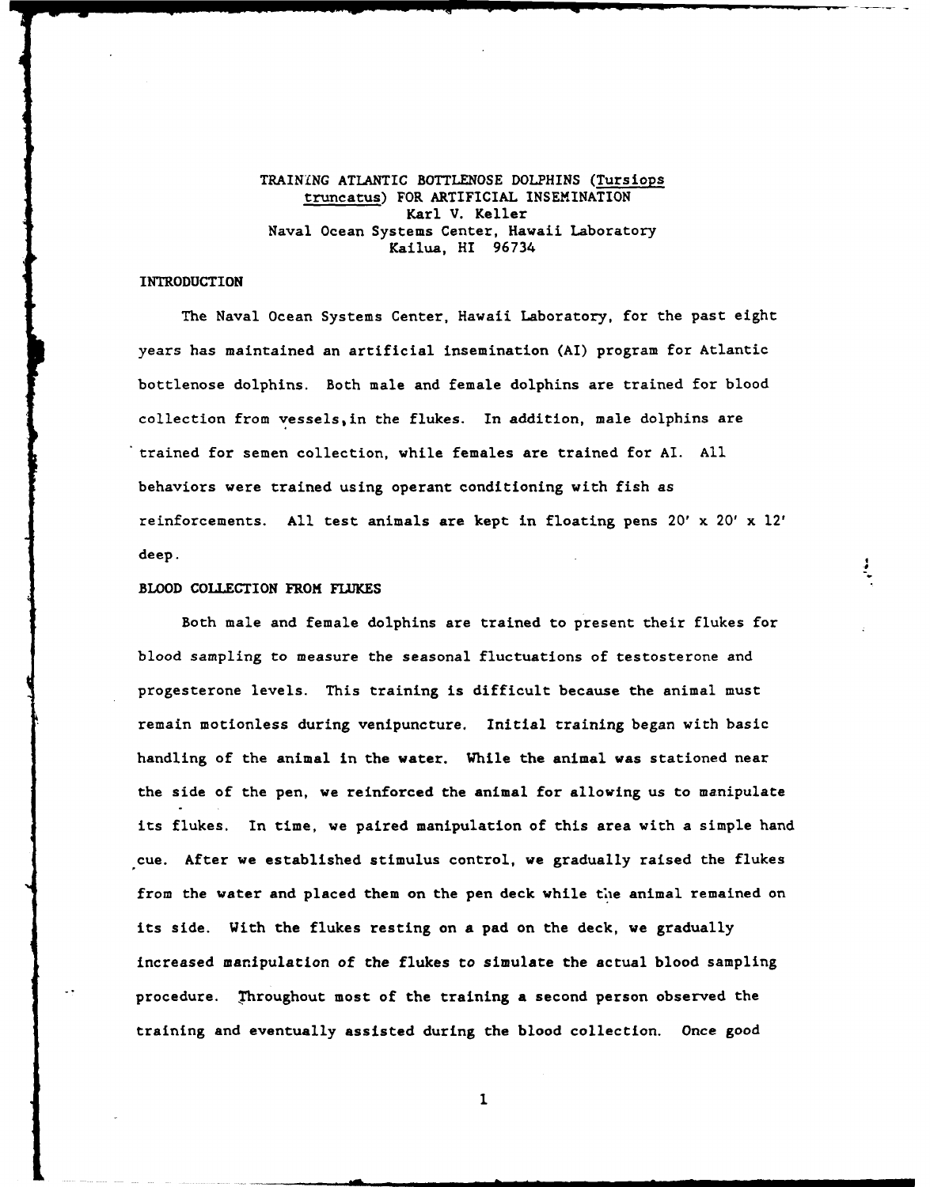# TRAINING ATLANTIC **BOTTLENOSE** DOLPHINS (Tursiops truncatus) FOR ARTIFICIAL **INSEMINATION** Karl V. Keller Naval Ocean Systems Center, Hawaii Laboratory Kailua, HI **96734**

## INTRODUCTION

The Naval Ocean Systems Center, Hawaii Laboratory, for the past eight years has maintained an artificial insemination (AI) program for Atlantic bottlenose dolphins. Both male and female dolphins are trained for blood collection from vessels,in the flukes. In addition, male dolphins are trained for semen collection, while females are trained for AI. All behaviors were trained using operant conditioning with fish as reinforcements. All test animals are kept in floating pens 20' x 20' x 12' deep.

### **BLOOD COLLECTION** FROM **FLUKES**

Both male and female dolphins are trained to present their flukes for blood sampling to measure the seasonal fluctuations of testosterone and progesterone levels. This training is difficult because the animal must remain motionless during venipuncture. Initial training began with basic handling of the animal in the water. While the animal was stationed near the side of the pen, we reinforced the animal for allowing us to manipulate its flukes. In time, we paired manipulation of this area with a simple hand cue. After we established stimulus control, we gradually raised the flukes from the water and placed them on the pen deck while the animal remained on its side. With the flukes resting on a pad on the deck, we gradually increased manipulation of the flukes to simulate the actual blood sampling procedure. Throughout most of the training a second person observed the training and eventually assisted during the blood collection. Once good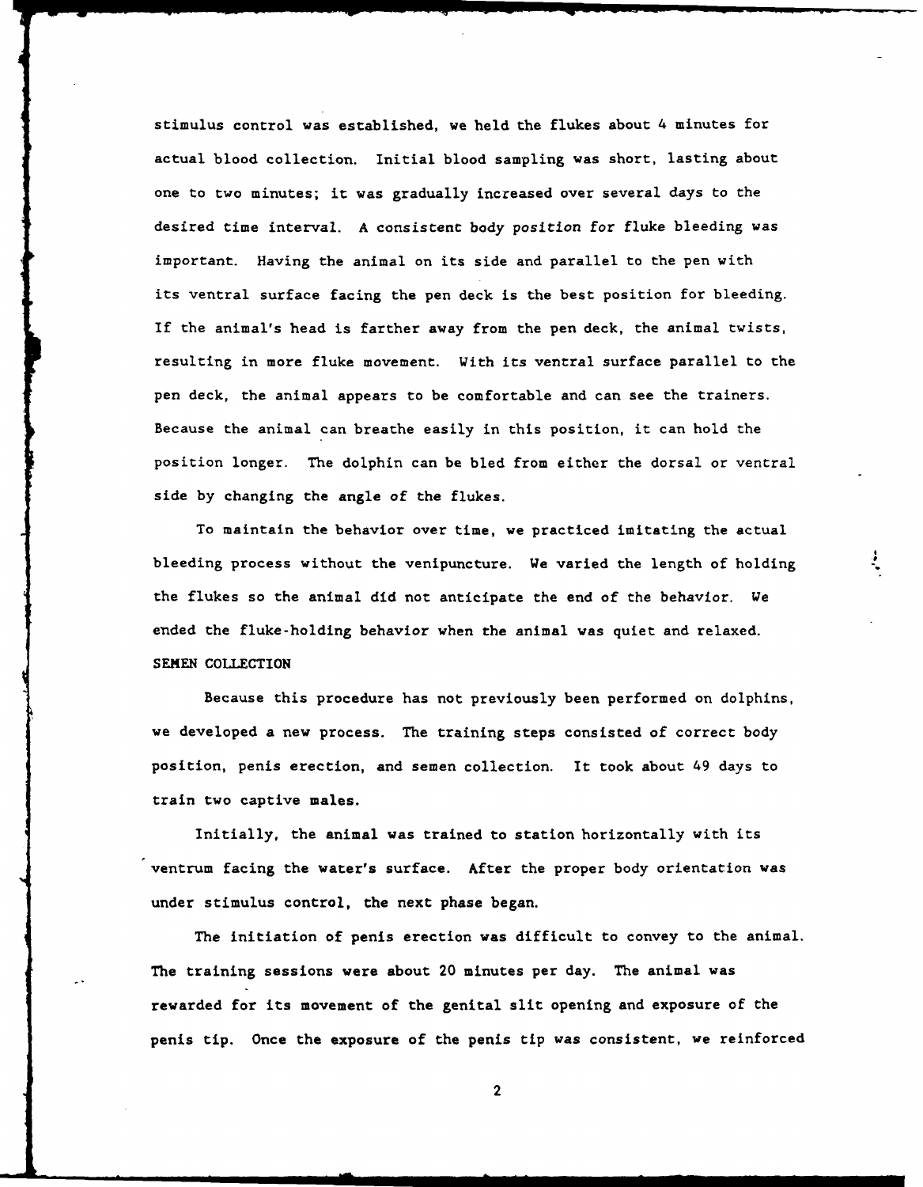stimulus control was established, we held the flukes about 4 minutes for actual blood collection. Initial blood sampling was short, lasting about one to two minutes; it was gradually increased over several days to the desired time interval. A consistent body position for fluke bleeding was important. Having the animal on its side and parallel to the pen with its ventral surface facing the pen deck is the best position for bleeding. If the animal's head is farther away from the pen deck, the animal twists, resulting in more fluke movement. With its ventral surface parallel to the pen deck, the animal appears to be comfortable and can see the trainers. Because the animal can breathe easily in this position, it can hold the position longer. The dolphin can be bled from either the dorsal or ventral side by changing the angle of the flukes.

To maintain the behavior over time, we practiced imitating the actual bleeding process without the venipuncture. We varied the length of holding the flukes so the animal did not anticipate the end of the behavior. We ended the fluke-holding behavior when the animal was quiet and relaxed. SEMEN COLLECTION

Because this procedure has not previously been performed on dolphins, we developed a new process. The training steps consisted of correct body position, penis erection, and semen collection. It took about 49 days to train two captive males.

Initially, the animal was trained to station horizontally with its ventrum facing the water's surface. After the proper body orientation was under stimulus control, the next phase began.

The initiation of penis erection was difficult to convey to the animal. The training sessions were about 20 minutes per day. The animal was rewarded for its movement of the genital slit opening and exposure of the penis tip. Once the exposure of the penis tip was consistent, we reinforced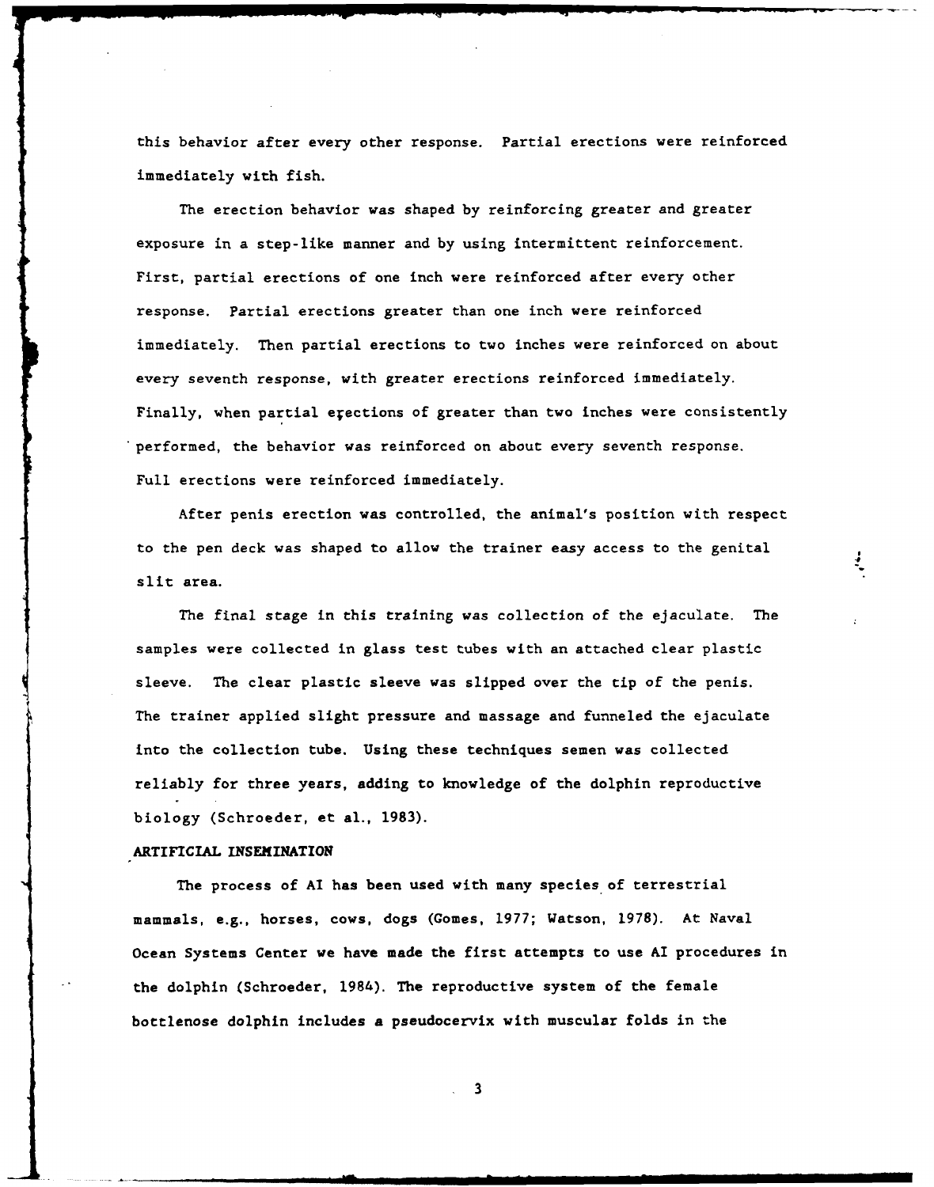this behavior after every other response. Partial erections were reinforced immediately with fish.

The erection behavior was shaped by reinforcing greater and greater exposure in a step-like manner and by using intermittent reinforcement. First, partial erections of one inch were reinforced after every other response. Partial erections greater than one inch were reinforced immediately. Then partial erections to two inches were reinforced on about every seventh response, with greater erections reinforced immediately. Finally, when partial erections of greater than two inches were consistently performed, the behavior was reinforced on about every seventh response. Full erections were reinforced immediately.

After penis erection was controlled, the animal's position with respect to the pen deck was shaped to allow the trainer easy access to the genital slit area.

The final stage in this training was collection of the ejaculate. The samples were collected in glass test tubes with an attached clear plastic sleeve. The clear plastic sleeve was slipped over the tip of the penis. The trainer applied slight pressure and massage and funneled the ejaculate into the collection tube. Using these techniques semen was collected reliably for three years, adding to knowledge of the dolphin reproductive biology (Schroeder, et al., 1983).

### ARTIFICIAL INSEMINATION

The process of **Al** has been used with many species of terrestrial mammals, e.g., horses, cows, dogs (Comes, **1977;** Watson, **1978).** At Naval Ocean Systems Center we have made the first attempts to use Al procedures in the dolphin (Schroeder, 1984). The reproductive system of the female bottlenose dolphin includes a pseudocervix with muscular folds in the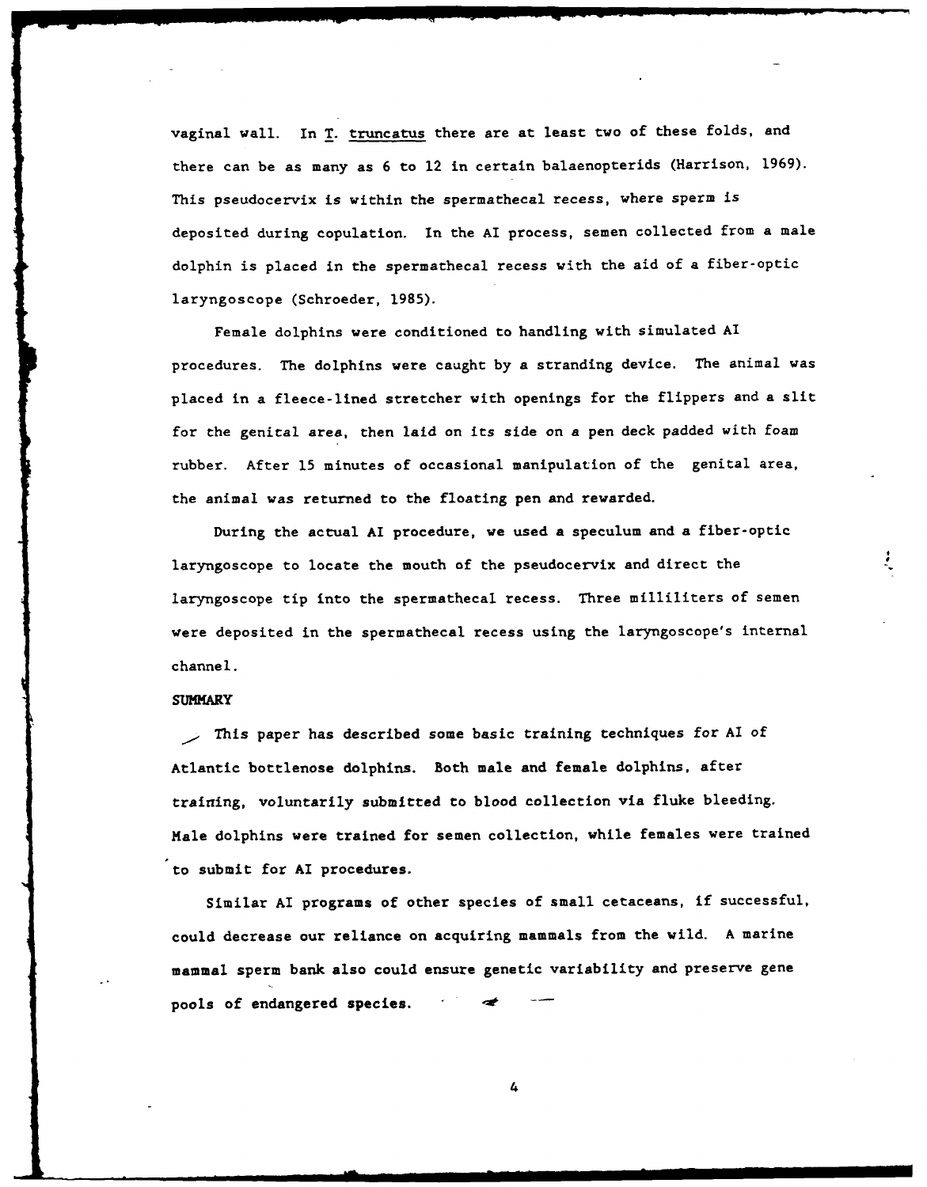vaginal wall. In T. truncatus there are at least two of these folds, and there can be as many as **6** to 12 in certain balaenopterids (Harrison, **1969).** This pseudocervix is within the spermathecal recess, where sperm is deposited during copulation. In the AI process, semen collected from a male dolphin is placed in the spermathecal recess with the aid of a fiber-optic laryngoscope (Schroeder, **1985).**

Female dolphins were conditioned to handling with simulated **Al** procedures. The dolphins were caught by a stranding device. The animal was placed in a fleece-lined stretcher with openings for the flippers and a slit for the genital area, then laid on its side on a pen deck padded with foam rubber. After **15** minutes of occasional manipulation of the genital area, the animal was returned to the floating pen and rewarded.

During the actual **AI** procedure, we used a speculum and a fiber-optic laryngoscope to locate the mouth of the pseudocervix and direct the laryngoscope tip into the spermathecal recess. Three milliliters of semen were deposited in the spermathecal recess using the laryngoscope's internal channel.

#### **SUMMARY**

This paper has described some basic training techniques for **Al** of Atlantic bottlenose dolphins. Both male and female dolphins, after training, voluntarily submitted to blood collection via fluke bleeding. Male dolphins were trained for semen collection, while females were trained to submit for **AI** procedures.

Similar **AI** programs of other species of small cetaceans, if successful, could decrease our reliance on acquiring mammals from the wild. **A** marine mammal sperm bank also could ensure genetic variability and preserve gene pools of endangered species.